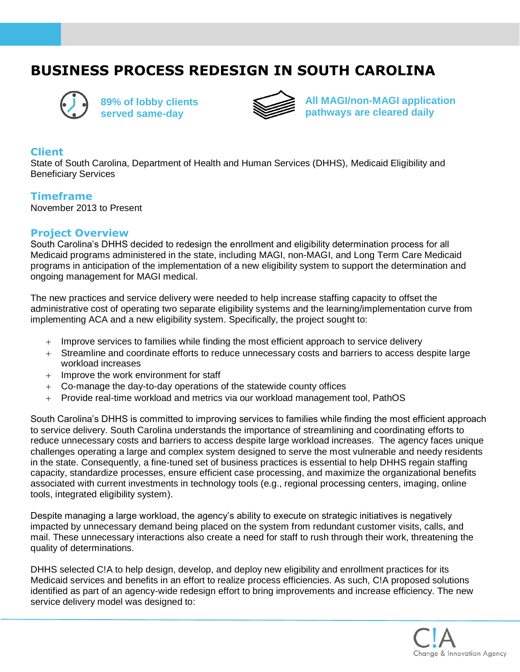# **BUSINESS PROCESS REDESIGN IN SOUTH CAROLINA**



**89% of lobby clients served same-day**



**All MAGI/non-MAGI application pathways are cleared daily**

#### **Client**

State of South Carolina, Department of Health and Human Services (DHHS), Medicaid Eligibility and Beneficiary Services

#### **Timeframe**

November 2013 to Present

## **Project Overview**

South Carolina's DHHS decided to redesign the enrollment and eligibility determination process for all Medicaid programs administered in the state, including MAGI, non-MAGI, and Long Term Care Medicaid programs in anticipation of the implementation of a new eligibility system to support the determination and ongoing management for MAGI medical.

The new practices and service delivery were needed to help increase staffing capacity to offset the administrative cost of operating two separate eligibility systems and the learning/implementation curve from implementing ACA and a new eligibility system. Specifically, the project sought to:

- + Improve services to families while finding the most efficient approach to service delivery
- + Streamline and coordinate efforts to reduce unnecessary costs and barriers to access despite large workload increases
- + Improve the work environment for staff
- + Co-manage the day-to-day operations of the statewide county offices
- + Provide real-time workload and metrics via our workload management tool, PathOS

South Carolina's DHHS is committed to improving services to families while finding the most efficient approach to service delivery. South Carolina understands the importance of streamlining and coordinating efforts to reduce unnecessary costs and barriers to access despite large workload increases. The agency faces unique challenges operating a large and complex system designed to serve the most vulnerable and needy residents in the state. Consequently, a fine-tuned set of business practices is essential to help DHHS regain staffing capacity, standardize processes, ensure efficient case processing, and maximize the organizational benefits associated with current investments in technology tools (e.g., regional processing centers, imaging, online tools, integrated eligibility system).

Despite managing a large workload, the agency's ability to execute on strategic initiatives is negatively impacted by unnecessary demand being placed on the system from redundant customer visits, calls, and mail. These unnecessary interactions also create a need for staff to rush through their work, threatening the quality of determinations.

DHHS selected C!A to help design, develop, and deploy new eligibility and enrollment practices for its Medicaid services and benefits in an effort to realize process efficiencies. As such, C!A proposed solutions identified as part of an agency-wide redesign effort to bring improvements and increase efficiency. The new service delivery model was designed to: